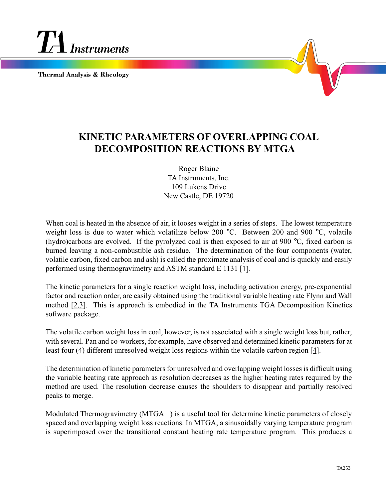

**Thermal Analysis & Rheology** 

## **KINETIC PARAMETERS OF OVERLAPPING COAL DECOMPOSITION REACTIONS BY MTGA**

Roger Blaine TA Instruments, Inc. 109 Lukens Drive New Castle, DE 19720

When coal is heated in the absence of air, it looses weight in a series of steps. The lowest temperature weight loss is due to water which volatilize below 200 °C. Between 200 and 900 °C, volatile (hydro)carbons are evolved. If the pyrolyzed coal is then exposed to air at 900 °C, fixed carbon is burned leaving a non-combustible ash residue. The determination of the four components (water, volatile carbon, fixed carbon and ash) is called the proximate analysis of coal and is quickly and easily performed using thermogravimetry and ASTM standard E 1131 [1].

The kinetic parameters for a single reaction weight loss, including activation energy, pre-exponential factor and reaction order, are easily obtained using the traditional variable heating rate Flynn and Wall method [2,3]. This is approach is embodied in the TA Instruments TGA Decomposition Kinetics software package.

The volatile carbon weight loss in coal, however, is not associated with a single weight loss but, rather, with several. Pan and co-workers, for example, have observed and determined kinetic parameters for at least four (4) different unresolved weight loss regions within the volatile carbon region [4].

The determination of kinetic parameters for unresolved and overlapping weight losses is difficult using the variable heating rate approach as resolution decreases as the higher heating rates required by the method are used. The resolution decrease causes the shoulders to disappear and partially resolved peaks to merge.

Modulated Thermogravimetry ( $MTGA^{TM}$ ) is a useful tool for determine kinetic parameters of closely spaced and overlapping weight loss reactions. In MTGA, a sinusoidally varying temperature program is superimposed over the transitional constant heating rate temperature program. This produces a